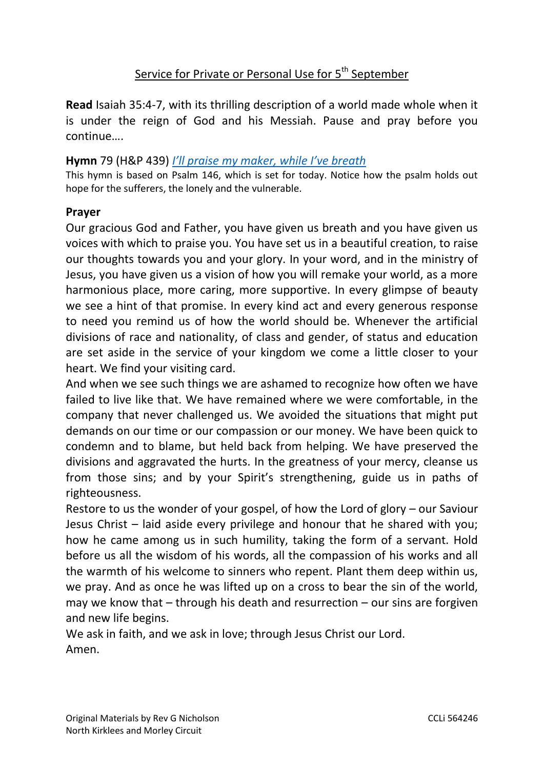# Service for Private or Personal Use for 5<sup>th</sup> September

**Read** Isaiah 35:4-7, with its thrilling description of a world made whole when it is under the reign of God and his Messiah. Pause and pray before you continue….

#### **Hymn** 79 (H&P 439) *[I'll praise my maker, while I've breath](https://www.youtube.com/watch?v=s7BB6kArmoI)*

This hymn is based on Psalm 146, which is set for today. Notice how the psalm holds out hope for the sufferers, the lonely and the vulnerable.

#### **Prayer**

Our gracious God and Father, you have given us breath and you have given us voices with which to praise you. You have set us in a beautiful creation, to raise our thoughts towards you and your glory. In your word, and in the ministry of Jesus, you have given us a vision of how you will remake your world, as a more harmonious place, more caring, more supportive. In every glimpse of beauty we see a hint of that promise. In every kind act and every generous response to need you remind us of how the world should be. Whenever the artificial divisions of race and nationality, of class and gender, of status and education are set aside in the service of your kingdom we come a little closer to your heart. We find your visiting card.

And when we see such things we are ashamed to recognize how often we have failed to live like that. We have remained where we were comfortable, in the company that never challenged us. We avoided the situations that might put demands on our time or our compassion or our money. We have been quick to condemn and to blame, but held back from helping. We have preserved the divisions and aggravated the hurts. In the greatness of your mercy, cleanse us from those sins; and by your Spirit's strengthening, guide us in paths of righteousness.

Restore to us the wonder of your gospel, of how the Lord of glory – our Saviour Jesus Christ – laid aside every privilege and honour that he shared with you; how he came among us in such humility, taking the form of a servant. Hold before us all the wisdom of his words, all the compassion of his works and all the warmth of his welcome to sinners who repent. Plant them deep within us, we pray. And as once he was lifted up on a cross to bear the sin of the world, may we know that – through his death and resurrection – our sins are forgiven and new life begins.

We ask in faith, and we ask in love; through Jesus Christ our Lord. Amen.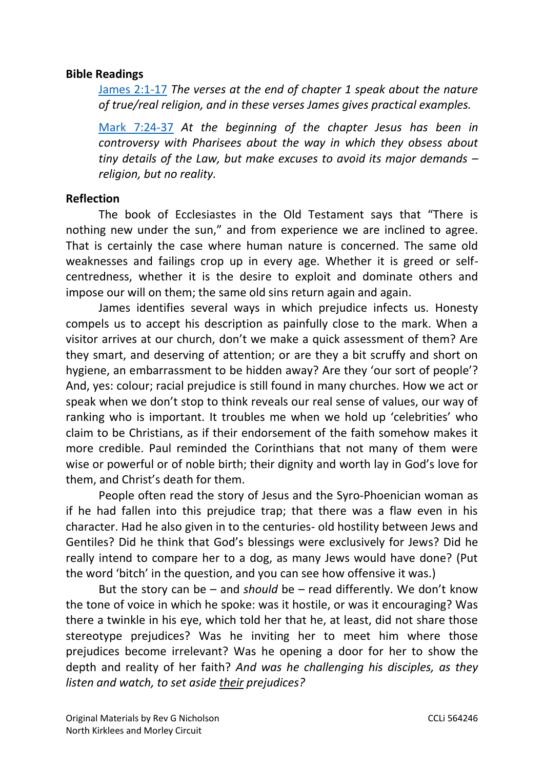### **Bible Readings**

[James 2:1-17](https://www.biblegateway.com/passage/?search=James+2%3A1-17+&version=NIV) *The verses at the end of chapter 1 speak about the nature of true/real religion, and in these verses James gives practical examples.*

[Mark 7:24-37](https://www.biblegateway.com/passage/?search=Mark+7%3A24-37+&version=NIV) *At the beginning of the chapter Jesus has been in controversy with Pharisees about the way in which they obsess about tiny details of the Law, but make excuses to avoid its major demands – religion, but no reality.*

### **Reflection**

The book of Ecclesiastes in the Old Testament says that "There is nothing new under the sun," and from experience we are inclined to agree. That is certainly the case where human nature is concerned. The same old weaknesses and failings crop up in every age. Whether it is greed or selfcentredness, whether it is the desire to exploit and dominate others and impose our will on them; the same old sins return again and again.

James identifies several ways in which prejudice infects us. Honesty compels us to accept his description as painfully close to the mark. When a visitor arrives at our church, don't we make a quick assessment of them? Are they smart, and deserving of attention; or are they a bit scruffy and short on hygiene, an embarrassment to be hidden away? Are they 'our sort of people'? And, yes: colour; racial prejudice is still found in many churches. How we act or speak when we don't stop to think reveals our real sense of values, our way of ranking who is important. It troubles me when we hold up 'celebrities' who claim to be Christians, as if their endorsement of the faith somehow makes it more credible. Paul reminded the Corinthians that not many of them were wise or powerful or of noble birth; their dignity and worth lay in God's love for them, and Christ's death for them.

People often read the story of Jesus and the Syro-Phoenician woman as if he had fallen into this prejudice trap; that there was a flaw even in his character. Had he also given in to the centuries- old hostility between Jews and Gentiles? Did he think that God's blessings were exclusively for Jews? Did he really intend to compare her to a dog, as many Jews would have done? (Put the word 'bitch' in the question, and you can see how offensive it was.)

But the story can be – and *should* be – read differently. We don't know the tone of voice in which he spoke: was it hostile, or was it encouraging? Was there a twinkle in his eye, which told her that he, at least, did not share those stereotype prejudices? Was he inviting her to meet him where those prejudices become irrelevant? Was he opening a door for her to show the depth and reality of her faith? *And was he challenging his disciples, as they listen and watch, to set aside their prejudices?*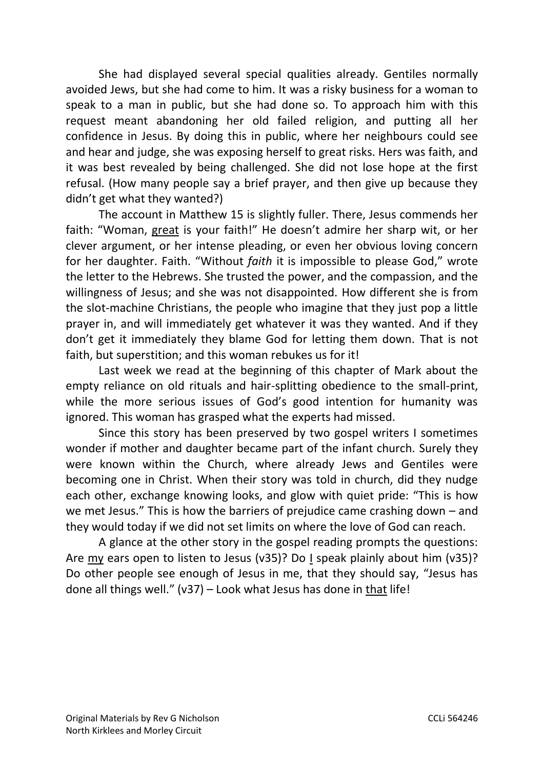She had displayed several special qualities already. Gentiles normally avoided Jews, but she had come to him. It was a risky business for a woman to speak to a man in public, but she had done so. To approach him with this request meant abandoning her old failed religion, and putting all her confidence in Jesus. By doing this in public, where her neighbours could see and hear and judge, she was exposing herself to great risks. Hers was faith, and it was best revealed by being challenged. She did not lose hope at the first refusal. (How many people say a brief prayer, and then give up because they didn't get what they wanted?)

The account in Matthew 15 is slightly fuller. There, Jesus commends her faith: "Woman, great is your faith!" He doesn't admire her sharp wit, or her clever argument, or her intense pleading, or even her obvious loving concern for her daughter. Faith. "Without *faith* it is impossible to please God," wrote the letter to the Hebrews. She trusted the power, and the compassion, and the willingness of Jesus; and she was not disappointed. How different she is from the slot-machine Christians, the people who imagine that they just pop a little prayer in, and will immediately get whatever it was they wanted. And if they don't get it immediately they blame God for letting them down. That is not faith, but superstition; and this woman rebukes us for it!

Last week we read at the beginning of this chapter of Mark about the empty reliance on old rituals and hair-splitting obedience to the small-print, while the more serious issues of God's good intention for humanity was ignored. This woman has grasped what the experts had missed.

Since this story has been preserved by two gospel writers I sometimes wonder if mother and daughter became part of the infant church. Surely they were known within the Church, where already Jews and Gentiles were becoming one in Christ. When their story was told in church, did they nudge each other, exchange knowing looks, and glow with quiet pride: "This is how we met Jesus." This is how the barriers of prejudice came crashing down – and they would today if we did not set limits on where the love of God can reach.

A glance at the other story in the gospel reading prompts the questions: Are my ears open to listen to Jesus (v35)? Do I speak plainly about him (v35)? Do other people see enough of Jesus in me, that they should say, "Jesus has done all things well." (v37) – Look what Jesus has done in that life!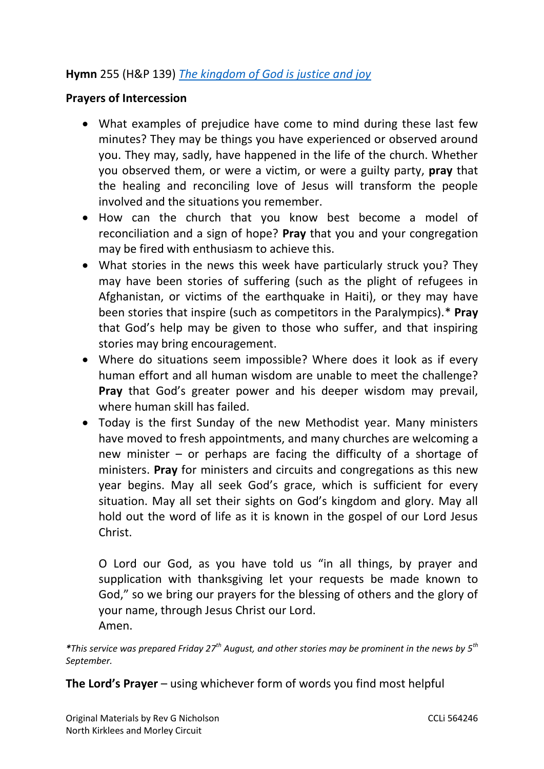# **Hymn** 255 (H&P 139) *[The kingdom of God is justice and joy](https://www.youtube.com/watch?v=mOrkdW5NAM0)*

### **Prayers of Intercession**

- What examples of prejudice have come to mind during these last few minutes? They may be things you have experienced or observed around you. They may, sadly, have happened in the life of the church. Whether you observed them, or were a victim, or were a guilty party, **pray** that the healing and reconciling love of Jesus will transform the people involved and the situations you remember.
- How can the church that you know best become a model of reconciliation and a sign of hope? **Pray** that you and your congregation may be fired with enthusiasm to achieve this.
- What stories in the news this week have particularly struck you? They may have been stories of suffering (such as the plight of refugees in Afghanistan, or victims of the earthquake in Haiti), or they may have been stories that inspire (such as competitors in the Paralympics).\* **Pray** that God's help may be given to those who suffer, and that inspiring stories may bring encouragement.
- Where do situations seem impossible? Where does it look as if every human effort and all human wisdom are unable to meet the challenge? **Pray** that God's greater power and his deeper wisdom may prevail, where human skill has failed.
- Today is the first Sunday of the new Methodist year. Many ministers have moved to fresh appointments, and many churches are welcoming a new minister – or perhaps are facing the difficulty of a shortage of ministers. **Pray** for ministers and circuits and congregations as this new year begins. May all seek God's grace, which is sufficient for every situation. May all set their sights on God's kingdom and glory. May all hold out the word of life as it is known in the gospel of our Lord Jesus Christ.

O Lord our God, as you have told us "in all things, by prayer and supplication with thanksgiving let your requests be made known to God," so we bring our prayers for the blessing of others and the glory of your name, through Jesus Christ our Lord. Amen.

*\*This service was prepared Friday 27th August, and other stories may be prominent in the news by 5th September.*

**The Lord's Prayer** – using whichever form of words you find most helpful